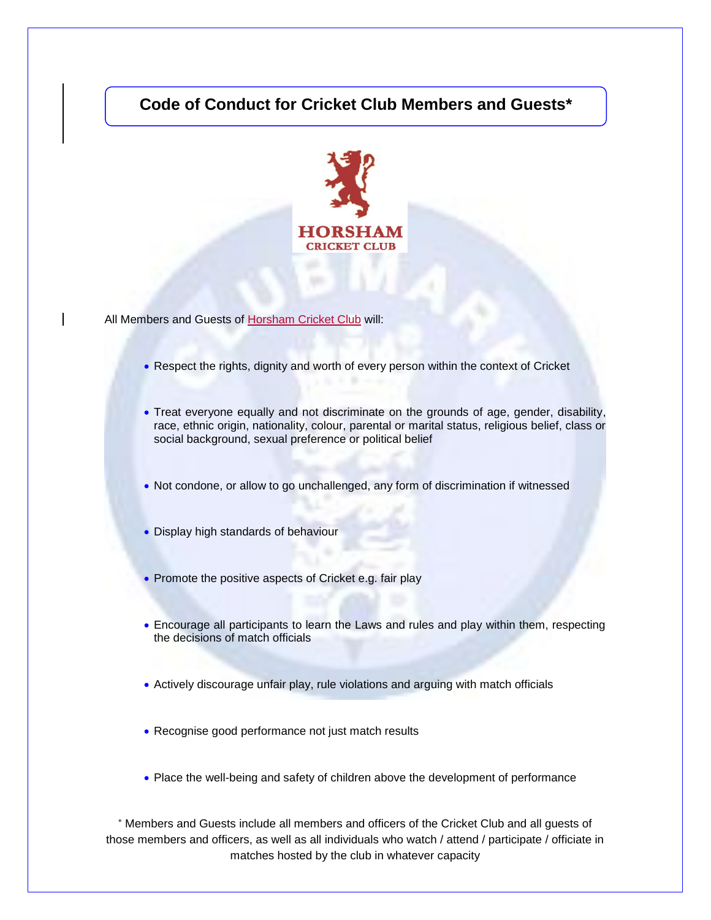## **Code of Conduct for Cricket Club Members and Guests\***



All Members and Guests of Horsham Cricket Club will:

- Respect the rights, dignity and worth of every person within the context of Cricket
- Treat everyone equally and not discriminate on the grounds of age, gender, disability, race, ethnic origin, nationality, colour, parental or marital status, religious belief, class or social background, sexual preference or political belief
- Not condone, or allow to go unchallenged, any form of discrimination if witnessed
- Display high standards of behaviour
- Promote the positive aspects of Cricket e.g. fair play
- Encourage all participants to learn the Laws and rules and play within them, respecting the decisions of match officials
- Actively discourage unfair play, rule violations and arguing with match officials
- Recognise good performance not just match results
- Place the well-being and safety of children above the development of performance

 Members and Guests include all members and officers of the Cricket Club and all guests of those members and officers, as well as all individuals who watch / attend / participate / officiate in matches hosted by the club in whatever capacity